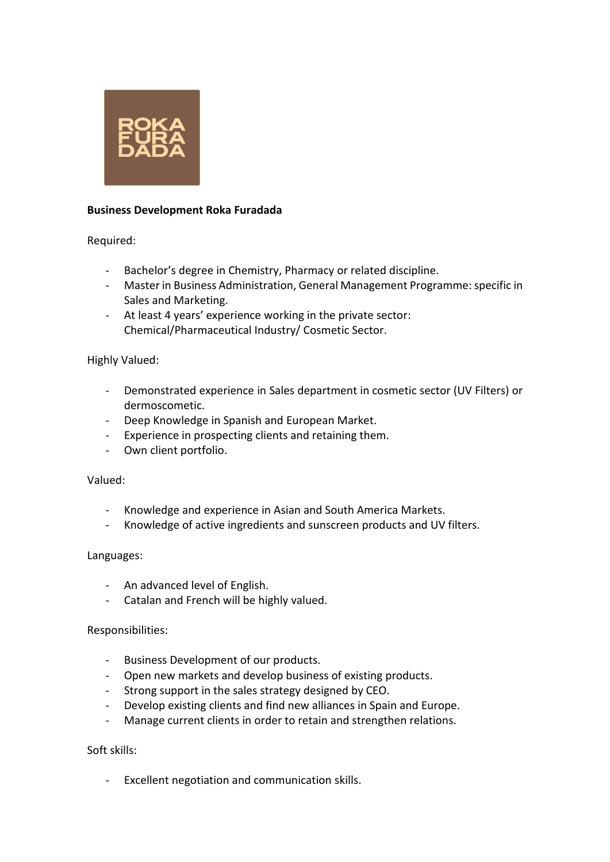

# **Business Development Roka Furadada**

Required:

- Bachelor's degree in Chemistry, Pharmacy or related discipline.
- Master in Business Administration, General Management Programme: specific in Sales and Marketing.
- At least 4 years' experience working in the private sector: Chemical/Pharmaceutical Industry/ Cosmetic Sector.

# Highly Valued:

- Demonstrated experience in Sales department in cosmetic sector (UV Filters) or dermoscometic.
- Deep Knowledge in Spanish and European Market.
- Experience in prospecting clients and retaining them.
- Own client portfolio.

### Valued:

- Knowledge and experience in Asian and South America Markets.
- Knowledge of active ingredients and sunscreen products and UV filters.

### Languages:

- An advanced level of English.
- Catalan and French will be highly valued.

### Responsibilities:

- Business Development of our products.
- Open new markets and develop business of existing products.
- Strong support in the sales strategy designed by CEO.
- Develop existing clients and find new alliances in Spain and Europe.
- Manage current clients in order to retain and strengthen relations.

### Soft skills:

Excellent negotiation and communication skills.